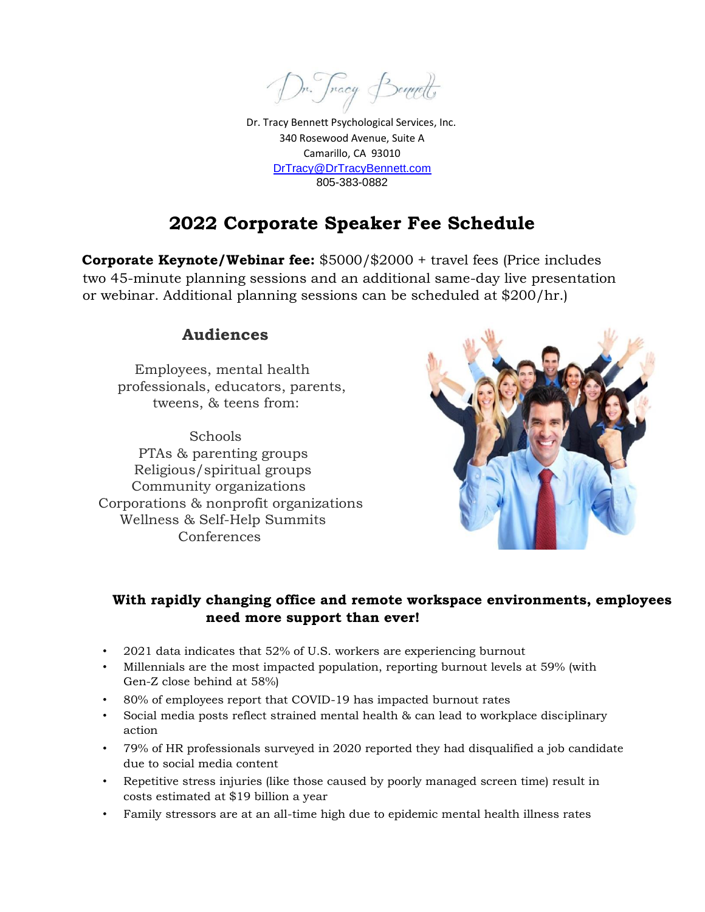m. Jnacy Bennett

Dr. Tracy Bennett Psychological Services, Inc. 340 Rosewood Avenue, Suite A Camarillo, CA 93010 DrTracy@DrTracyBennett.com 805-383-0882

# **2022 Corporate Speaker Fee Schedule**

**Corporate Keynote/Webinar fee:** \$5000/\$2000 + travel fees (Price includes two 45-minute planning sessions and an additional same-day live presentation or webinar. Additional planning sessions can be scheduled at \$200/hr.)

#### **Audiences**

 Employees, mental health professionals, educators, parents, tweens, & teens from:

 Schools PTAs & parenting groups Religious/spiritual groups Community organizations Corporations & nonprofit organizations Wellness & Self-Help Summits Conferences



#### **With rapidly changing office and remote workspace environments, employees need more support than ever!**

- 2021 data indicates that 52% of U.S. workers are experiencing burnout
- Millennials are the most impacted population, reporting burnout levels at 59% (with Gen-Z close behind at 58%)
- 80% of employees report that COVID-19 has impacted burnout rates
- Social media posts reflect strained mental health & can lead to workplace disciplinary action
- 79% of HR professionals surveyed in 2020 reported they had disqualified a job candidate due to social media content
- Repetitive stress injuries (like those caused by poorly managed screen time) result in costs estimated at \$19 billion a year
- Family stressors are at an all-time high due to epidemic mental health illness rates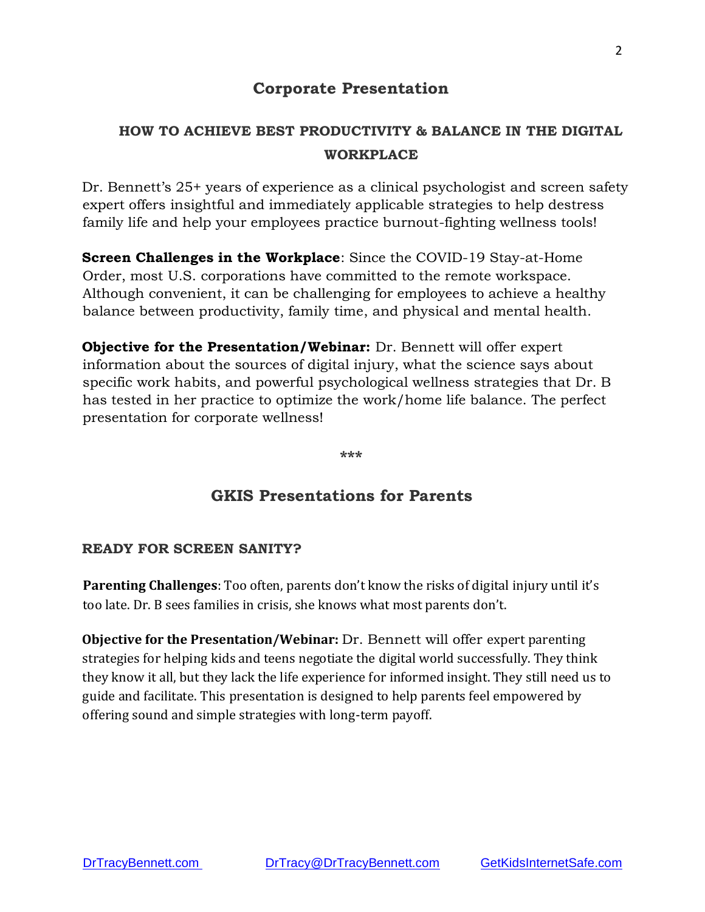### **Corporate Presentation**

# **HOW TO ACHIEVE BEST PRODUCTIVITY & BALANCE IN THE DIGITAL WORKPLACE**

Dr. Bennett's 25+ years of experience as a clinical psychologist and screen safety expert offers insightful and immediately applicable strategies to help destress family life and help your employees practice burnout-fighting wellness tools!

**Screen Challenges in the Workplace**: Since the COVID-19 Stay-at-Home Order, most U.S. corporations have committed to the remote workspace. Although convenient, it can be challenging for employees to achieve a healthy balance between productivity, family time, and physical and mental health.

**Objective for the Presentation/Webinar:** Dr. Bennett will offer expert information about the sources of digital injury, what the science says about specific work habits, and powerful psychological wellness strategies that Dr. B has tested in her practice to optimize the work/home life balance. The perfect presentation for corporate wellness!

**\*\*\*** 

### **GKIS Presentations for Parents**

#### **READY FOR SCREEN SANITY?**

**Parenting Challenges**: Too often, parents don't know the risks of digital injury until it's too late. Dr. B sees families in crisis, she knows what most parents don't.

**Objective for the Presentation/Webinar:** Dr. Bennett will offer expert parenting strategies for helping kids and teens negotiate the digital world successfully. They think they know it all, but they lack the life experience for informed insight. They still need us to guide and facilitate. This presentation is designed to help parents feel empowered by offering sound and simple strategies with long-term payoff.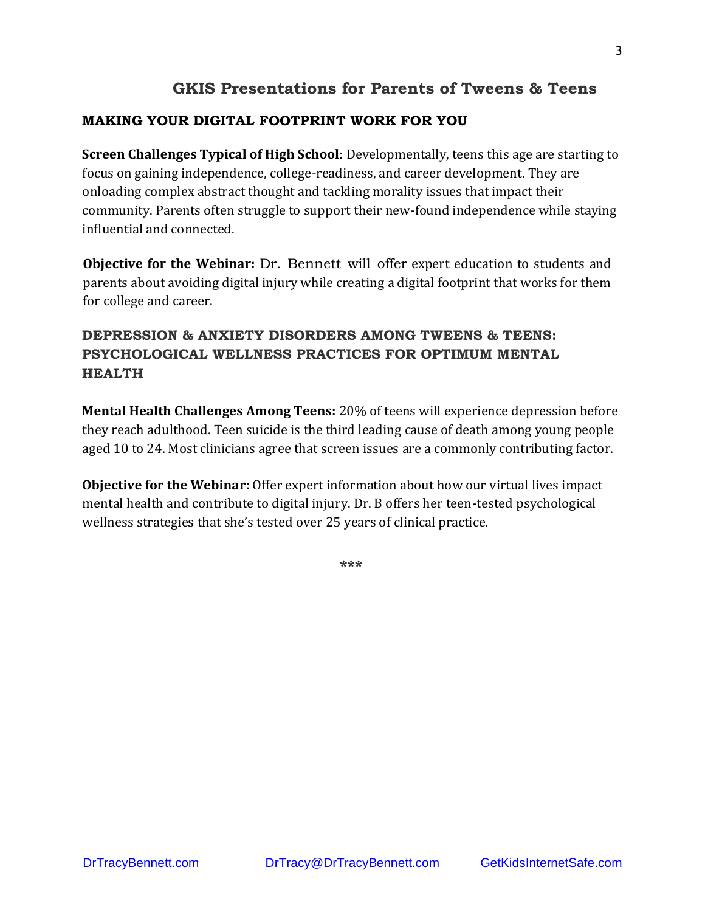# **GKIS Presentations for Parents of Tweens & Teens**

#### **MAKING YOUR DIGITAL FOOTPRINT WORK FOR YOU**

**Screen Challenges Typical of High School**: Developmentally, teens this age are starting to focus on gaining independence, college-readiness, and career development. They are onloading complex abstract thought and tackling morality issues that impact their community. Parents often struggle to support their new-found independence while staying influential and connected.

**Objective for the Webinar:** Dr. Bennett will offer expert education to students and parents about avoiding digital injury while creating a digital footprint that works for them for college and career.

# **DEPRESSION & ANXIETY DISORDERS AMONG TWEENS & TEENS: PSYCHOLOGICAL WELLNESS PRACTICES FOR OPTIMUM MENTAL HEALTH**

**Mental Health Challenges Among Teens:** 20% of teens will experience depression before they reach adulthood. Teen suicide is the third leading cause of death among young people aged 10 to 24. Most clinicians agree that screen issues are a commonly contributing factor.

**Objective for the Webinar:** Offer expert information about how our virtual lives impact mental health and contribute to digital injury. Dr. B offers her teen-tested psychological wellness strategies that she's tested over 25 years of clinical practice.

**\*\*\***